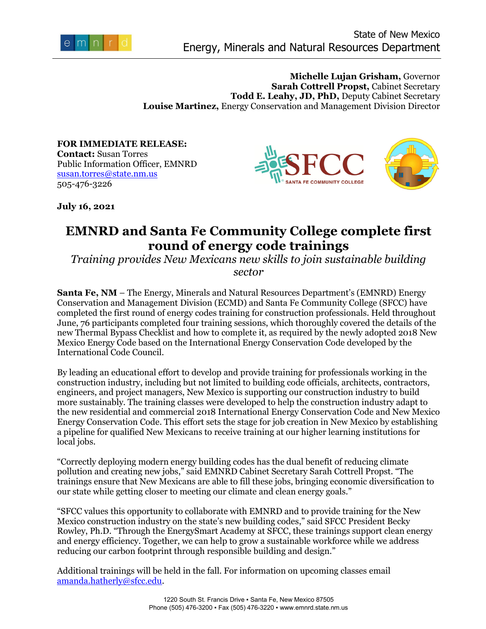

**Michelle Lujan Grisham,** Governor **Sarah Cottrell Propst, Cabinet Secretary Todd E. Leahy, JD, PhD,** Deputy Cabinet Secretary **Louise Martinez,** Energy Conservation and Management Division Director

**FOR IMMEDIATE RELEASE: Contact:** Susan Torres Public Information Officer, EMNRD [susan.torres@state.nm.us](mailto:susan.torres@state.nm.us) 505-476-3226





**July 16, 2021**

## **EMNRD and Santa Fe Community College complete first round of energy code trainings**

*Training provides New Mexicans new skills to join sustainable building sector*

**Santa Fe, NM** – The Energy, Minerals and Natural Resources Department's (EMNRD) Energy Conservation and Management Division (ECMD) and Santa Fe Community College (SFCC) have completed the first round of energy codes training for construction professionals. Held throughout June, 76 participants completed four training sessions, which thoroughly covered the details of the new Thermal Bypass Checklist and how to complete it, as required by the newly adopted 2018 New Mexico Energy Code based on the International Energy Conservation Code developed by the International Code Council.

By leading an educational effort to develop and provide training for professionals working in the construction industry, including but not limited to building code officials, architects, contractors, engineers, and project managers, New Mexico is supporting our construction industry to build more sustainably. The training classes were developed to help the construction industry adapt to the new residential and commercial 2018 International Energy Conservation Code and New Mexico Energy Conservation Code. This effort sets the stage for job creation in New Mexico by establishing a pipeline for qualified New Mexicans to receive training at our higher learning institutions for local jobs.

"Correctly deploying modern energy building codes has the dual benefit of reducing climate pollution and creating new jobs," said EMNRD Cabinet Secretary Sarah Cottrell Propst. "The trainings ensure that New Mexicans are able to fill these jobs, bringing economic diversification to our state while getting closer to meeting our climate and clean energy goals."

"SFCC values this opportunity to collaborate with EMNRD and to provide training for the New Mexico construction industry on the state's new building codes," said SFCC President Becky Rowley, Ph.D. "Through the EnergySmart Academy at SFCC, these trainings support clean energy and energy efficiency. Together, we can help to grow a sustainable workforce while we address reducing our carbon footprint through responsible building and design."

Additional trainings will be held in the fall. For information on upcoming classes email [amanda.hatherly@sfcc.edu.](mailto:amanda.hatherly@sfcc.edu)